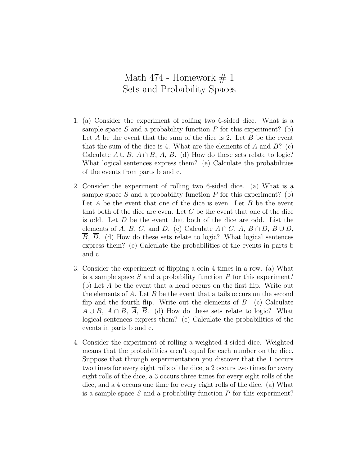## Math 474 - Homework  $\#$  1 Sets and Probability Spaces

- 1. (a) Consider the experiment of rolling two 6-sided dice. What is a sample space *S* and a probability function *P* for this experiment? (b) Let *A* be the event that the sum of the dice is 2. Let *B* be the event that the sum of the dice is 4. What are the elements of *A* and *B*? (c) Calculate  $A \cup B$ ,  $A \cap B$ ,  $\overline{A}$ ,  $\overline{B}$ . (d) How do these sets relate to logic? What logical sentences express them? (e) Calculate the probabilities of the events from parts b and c.
- 2. Consider the experiment of rolling two 6-sided dice. (a) What is a sample space *S* and a probability function *P* for this experiment? (b) Let *A* be the event that one of the dice is even. Let *B* be the event that both of the dice are even. Let *C* be the event that one of the dice is odd. Let *D* be the event that both of the dice are odd. List the elements of *A*, *B*, *C*, and *D*. (c) Calculate  $A \cap C$ ,  $A$ ,  $B \cap D$ ,  $B \cup D$ , *B*, *D*. (d) How do these sets relate to logic? What logical sentences express them? (e) Calculate the probabilities of the events in parts b and c.
- 3. Consider the experiment of flipping a coin 4 times in a row. (a) What is a sample space *S* and a probability function *P* for this experiment? (b) Let *A* be the event that a head occurs on the first flip. Write out the elements of *A*. Let *B* be the event that a tails occurs on the second flip and the fourth flip. Write out the elements of *B*. (c) Calculate  $A \cup B$ ,  $A \cap B$ ,  $A$ ,  $B$ . (d) How do these sets relate to logic? What logical sentences express them? (e) Calculate the probabilities of the events in parts b and c.
- 4. Consider the experiment of rolling a weighted 4-sided dice. Weighted means that the probabilities aren't equal for each number on the dice. Suppose that through experimentation you discover that the 1 occurs two times for every eight rolls of the dice, a 2 occurs two times for every eight rolls of the dice, a 3 occurs three times for every eight rolls of the dice, and a 4 occurs one time for every eight rolls of the dice. (a) What is a sample space *S* and a probability function *P* for this experiment?